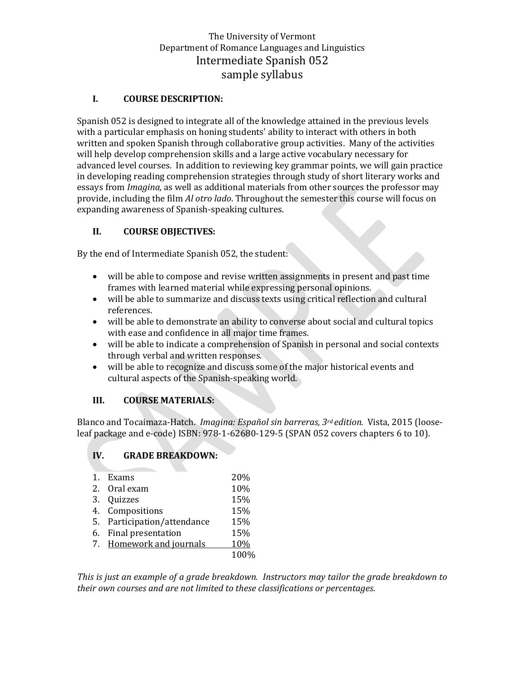# The University of Vermont Department of Romance Languages and Linguistics Intermediate Spanish 052 sample syllabus

### **I. COURSE DESCRIPTION:**

Spanish 052 is designed to integrate all of the knowledge attained in the previous levels with a particular emphasis on honing students' ability to interact with others in both written and spoken Spanish through collaborative group activities. Many of the activities will help develop comprehension skills and a large active vocabulary necessary for advanced level courses. In addition to reviewing key grammar points, we will gain practice in developing reading comprehension strategies through study of short literary works and essays from *Imagina,* as well as additional materials from other sources the professor may provide, including the film *Al otro lado*. Throughout the semester this course will focus on expanding awareness of Spanish-speaking cultures.

### **II. COURSE OBJECTIVES:**

By the end of Intermediate Spanish 052, the student:

- will be able to compose and revise written assignments in present and past time frames with learned material while expressing personal opinions.
- will be able to summarize and discuss texts using critical reflection and cultural references.
- will be able to demonstrate an ability to converse about social and cultural topics with ease and confidence in all major time frames.
- will be able to indicate a comprehension of Spanish in personal and social contexts through verbal and written responses.
- will be able to recognize and discuss some of the major historical events and cultural aspects of the Spanish-speaking world.

### **III. COURSE MATERIALS:**

Blanco and Tocaimaza-Hatch. *Imagina: Español sin barreras, 3rd edition.* Vista, 2015 (looseleaf package and e-code) ISBN: 978-1-62680-129-5 (SPAN 052 covers chapters 6 to 10).

# **IV. GRADE BREAKDOWN:**

| $\mathbf{1}$ . | Exams                       | 20%        |
|----------------|-----------------------------|------------|
|                | 2. Oral exam                | 10%        |
|                | 3. Quizzes                  | 15%        |
|                | 4. Compositions             | 15%        |
|                | 5. Participation/attendance | 15%        |
|                | 6. Final presentation       | 15%        |
|                | 7. Homework and journals    | <b>10%</b> |
|                |                             | 100%       |

*This is just an example of a grade breakdown. Instructors may tailor the grade breakdown to their own courses and are not limited to these classifications or percentages.*